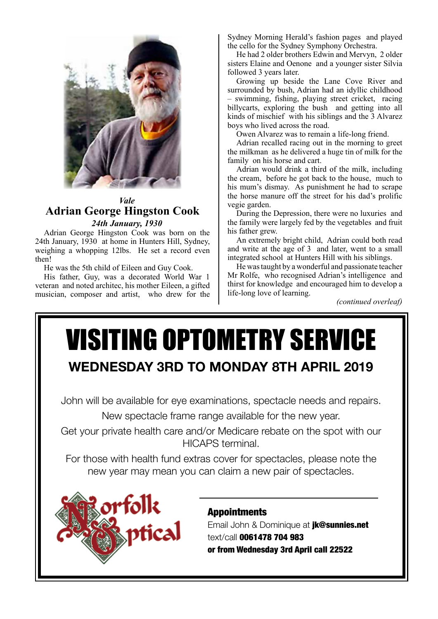

### *Vale* **Adrian George Hingston Cook**  *24th January, 1930*

Adrian George Hingston Cook was born on the 24th January, 1930 at home in Hunters Hill, Sydney, weighing a whopping 12lbs. He set a record even then!

He was the 5th child of Eileen and Guy Cook.

His father, Guy, was a decorated World War 1 veteran and noted architec, his mother Eileen, a gifted musician, composer and artist, who drew for the

Sydney Morning Herald's fashion pages and played the cello for the Sydney Symphony Orchestra.

He had 2 older brothers Edwin and Mervyn, 2 older sisters Elaine and Oenone and a younger sister Silvia followed 3 years later.

Growing up beside the Lane Cove River and surrounded by bush, Adrian had an idyllic childhood – swimming, fishing, playing street cricket, racing billycarts, exploring the bush and getting into all kinds of mischief with his siblings and the 3 Alvarez boys who lived across the road.

Owen Alvarez was to remain a life-long friend.

Adrian recalled racing out in the morning to greet the milkman as he delivered a huge tin of milk for the family on his horse and cart.

Adrian would drink a third of the milk, including the cream, before he got back to the house, much to his mum's dismay. As punishment he had to scrape the horse manure off the street for his dad's prolific vegie garden.

During the Depression, there were no luxuries and the family were largely fed by the vegetables and fruit his father grew.

An extremely bright child, Adrian could both read and write at the age of 3 and later, went to a small integrated school at Hunters Hill with his siblings.

He was taught by a wonderful and passionate teacher Mr Rolfe, who recognised Adrian's intelligence and thirst for knowledge and encouraged him to develop a life-long love of learning.

*(continued overleaf)*

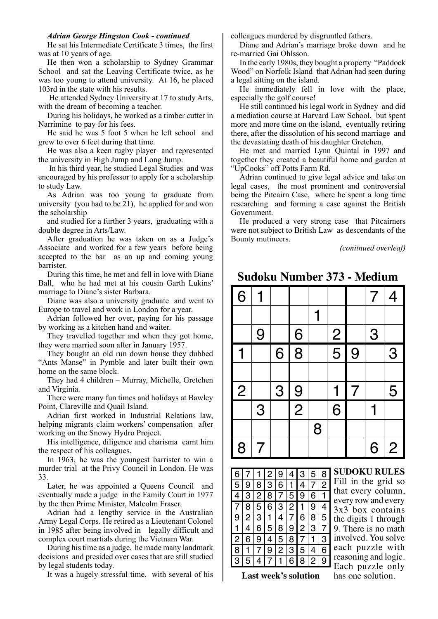#### *Adrian George Hingston Cook - continued*

He sat his Intermediate Certificate 3 times, the first was at 10 years of age.

He then won a scholarship to Sydney Grammar School and sat the Leaving Certificate twice, as he was too young to attend university. At 16, he placed 103rd in the state with his results.

 He attended Sydney University at 17 to study Arts, with the dream of becoming a teacher.

During his holidays, he worked as a timber cutter in Narrimine to pay for his fees.

He said he was 5 foot 5 when he left school and grew to over 6 feet during that time.

He was also a keen rugby player and represented the university in High Jump and Long Jump.

 In his third year, he studied Legal Studies and was encouraged by his professor to apply for a scholarship to study Law.

As Adrian was too young to graduate from university (you had to be 21), he applied for and won the scholarship

and studied for a further 3 years, graduating with a double degree in Arts/Law.

After graduation he was taken on as a Judge's Associate and worked for a few years before being accepted to the bar as an up and coming young barrister.

During this time, he met and fell in love with Diane Ball, who he had met at his cousin Garth Lukins' marriage to Diane's sister Barbara.

Diane was also a university graduate and went to Europe to travel and work in London for a year.

Adrian followed her over, paying for his passage by working as a kitchen hand and waiter.

They travelled together and when they got home, they were married soon after in January 1957.

They bought an old run down house they dubbed "Ants Manse" in Pymble and later built their own home on the same block.

They had 4 children – Murray, Michelle, Gretchen and Virginia.

There were many fun times and holidays at Bawley Point, Clareville and Quail Island.

Adrian first worked in Industrial Relations law, helping migrants claim workers' compensation after working on the Snowy Hydro Project.

His intelligence, diligence and charisma earnt him the respect of his colleagues.

In 1963, he was the youngest barrister to win a murder trial at the Privy Council in London. He was 33.

Later, he was appointed a Queens Council and eventually made a judge in the Family Court in 1977 by the then Prime Minister, Malcolm Fraser.

Adrian had a lengthy service in the Australian Army Legal Corps. He retired as a Lieutenant Colonel in 1985 after being involved in legally difficult and complex court martials during the Vietnam War.

During his time as a judge, he made many landmark decisions and presided over cases that are still studied by legal students today.

It was a hugely stressful time, with several of his

colleagues murdered by disgruntled fathers.

Diane and Adrian's marriage broke down and he re-married Gai Ohlsson.

In the early 1980s, they bought a property "Paddock Wood" on Norfolk Island that Adrian had seen during a legal sitting on the island.

He immediately fell in love with the place, especially the golf course!

He still continued his legal work in Sydney and did a mediation course at Harvard Law School, but spent more and more time on the island, eventually retiring there, after the dissolution of his second marriage and the devastating death of his daughter Gretchen.

He met and married Lynn Quintal in 1997 and together they created a beautiful home and garden at "UpCooks" off Potts Farm Rd.

Adrian continued to give legal advice and take on legal cases, the most prominent and controversial being the Pitcairn Case, where he spent a long time researching and forming a case against the British Government.

He produced a very strong case that Pitcairners were not subject to British Law as descendants of the Bounty mutineers.

*(conitnued overleaf)*

## **Sudoku Number 373 - Medium**



| 6 |   |                  | 2 | 9              | 4              | 3              | 5              | 8 |
|---|---|------------------|---|----------------|----------------|----------------|----------------|---|
| 5 | 9 | 8                | 3 | 6              | 1              | 4              | $\overline{7}$ | 2 |
| 4 | 3 | 2                | 8 | 7              | 5              | 9              | 6              | 1 |
| 7 | 8 | 5                | 6 | 3              | $\overline{2}$ | $\mathbf{1}$   | 9              | 4 |
| 9 | 2 | 3                | 1 | 4              | 7              | 6              | 8              | 5 |
| 1 | 4 | 6                | 5 | 8              | 9              | $\overline{c}$ | 3              | 7 |
| 2 | 6 | $\boldsymbol{9}$ | 4 | 5              | 8              | 7              | 1              | 3 |
| 8 |   | 7                | 9 | $\overline{c}$ | 3              | 5              | 4              | 6 |
| 3 | 5 | 4                |   | 1              | 6              | 8              | 2              | 9 |

**SUDOKU RULES** Fill in the grid so that every column, every row and every 3x3 box contains the digits 1 through 9. There is no math involved. You solve each puzzle with reasoning and logic. Each puzzle only

Last week's solution has one solution.